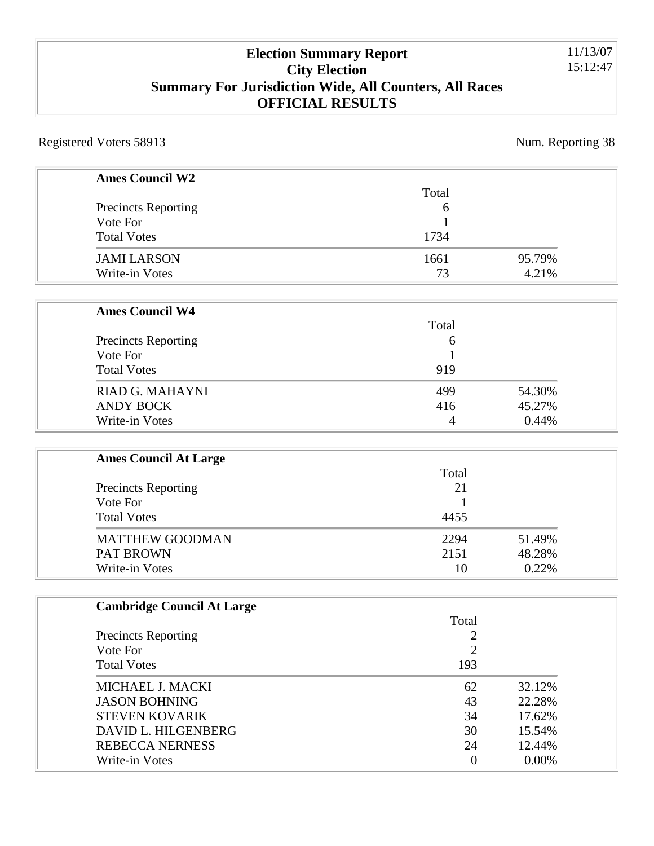### **Election Summary Report City Election Summary For Jurisdiction Wide, All Counters, All Races OFFICIAL RESULTS**

Registered Voters 58913 Num. Reporting 38

| <b>Ames Council W2</b>       |                |        |
|------------------------------|----------------|--------|
|                              | Total          |        |
| <b>Precincts Reporting</b>   | 6              |        |
| Vote For                     |                |        |
| <b>Total Votes</b>           | 1734           |        |
| <b>JAMI LARSON</b>           | 1661           | 95.79% |
| Write-in Votes               | 73             | 4.21%  |
| <b>Ames Council W4</b>       |                |        |
|                              | Total          |        |
| <b>Precincts Reporting</b>   | 6              |        |
| Vote For                     |                |        |
| <b>Total Votes</b>           | 919            |        |
| RIAD G. MAHAYNI              | 499            | 54.30% |
| <b>ANDY BOCK</b>             | 416            | 45.27% |
| Write-in Votes               | $\overline{4}$ | 0.44%  |
| <b>Ames Council At Large</b> |                |        |
|                              | Total          |        |
| <b>Precincts Reporting</b>   | 21             |        |
| Vote For                     |                |        |
| <b>Total Votes</b>           | 4455           |        |
| <b>MATTHEW GOODMAN</b>       | 2294           | 51.49% |
| <b>PAT BROWN</b>             | 2151           | 48.28% |
| <b>Write-in Votes</b>        | 10             | 0.22%  |

| <b>Cambridge Council At Large</b> |       |          |
|-----------------------------------|-------|----------|
|                                   | Total |          |
| <b>Precincts Reporting</b>        | ◠     |          |
| Vote For                          | ◠     |          |
| <b>Total Votes</b>                | 193   |          |
| MICHAEL J. MACKI                  | 62    | 32.12%   |
| <b>JASON BOHNING</b>              | 43    | 22.28%   |
| <b>STEVEN KOVARIK</b>             | 34    | 17.62%   |
| DAVID L. HILGENBERG               | 30    | 15.54%   |
| <b>REBECCA NERNESS</b>            | 24    | 12.44%   |
| Write-in Votes                    | 0     | $0.00\%$ |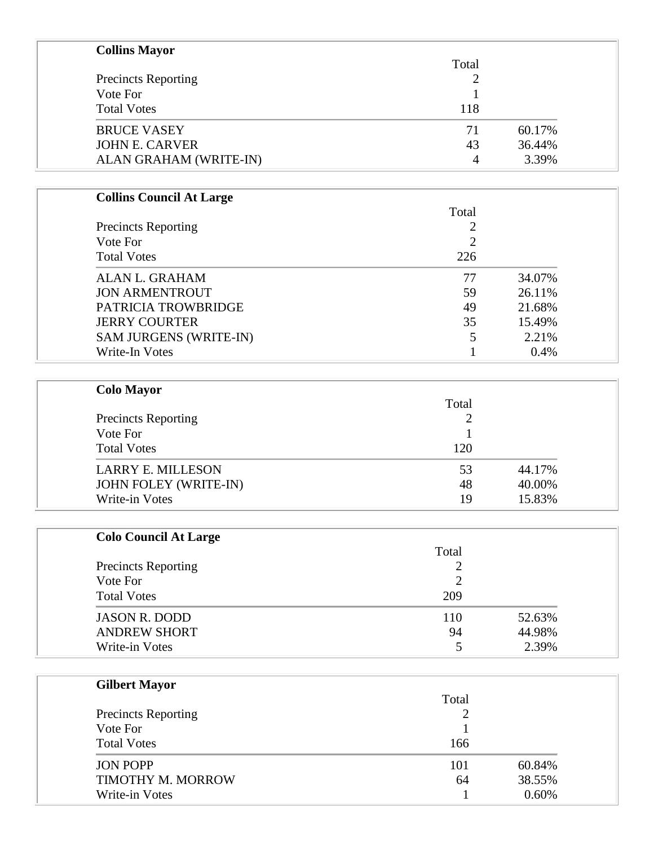| <b>Collins Mayor</b>       |       |        |
|----------------------------|-------|--------|
|                            | Total |        |
| <b>Precincts Reporting</b> | 2     |        |
| Vote For                   |       |        |
| <b>Total Votes</b>         | 118   |        |
| <b>BRUCE VASEY</b>         | 71    | 60.17% |
| <b>JOHN E. CARVER</b>      | 43    | 36.44% |
| ALAN GRAHAM (WRITE-IN)     | 4     | 3.39%  |

| <b>Precincts Reporting</b>    | Total          |        |
|-------------------------------|----------------|--------|
|                               | $\mathcal{D}$  |        |
| Vote For                      | $\overline{2}$ |        |
| <b>Total Votes</b>            | 226            |        |
| <b>ALAN L. GRAHAM</b>         | 77             | 34.07% |
| <b>JON ARMENTROUT</b>         | 59             | 26.11% |
| PATRICIA TROWBRIDGE           | 49             | 21.68% |
| <b>JERRY COURTER</b>          | 35             | 15.49% |
| <b>SAM JURGENS (WRITE-IN)</b> | 5              | 2.21%  |
| Write-In Votes                |                | 0.4%   |

| <b>Colo Mayor</b>                      |       |        |                    |
|----------------------------------------|-------|--------|--------------------|
| <b>Precincts Reporting</b><br>Vote For | Total |        |                    |
|                                        |       |        |                    |
|                                        |       |        | <b>Total Votes</b> |
| <b>LARRY E. MILLESON</b>               | 53    | 44.17% |                    |
| <b>JOHN FOLEY (WRITE-IN)</b>           | 48    | 40.00% |                    |
| Write-in Votes                         | 19    | 15.83% |                    |

| <b>Colo Council At Large</b> |       |        |
|------------------------------|-------|--------|
|                              | Total |        |
| <b>Precincts Reporting</b>   | ∍     |        |
| Vote For                     | ∍     |        |
| <b>Total Votes</b>           | 209   |        |
| <b>JASON R. DODD</b>         | 110   | 52.63% |
| <b>ANDREW SHORT</b>          | 94    | 44.98% |
| Write-in Votes               |       | 2.39%  |

| <b>Gilbert Mayor</b>       |       |        |
|----------------------------|-------|--------|
|                            | Total |        |
| <b>Precincts Reporting</b> | ∠     |        |
| Vote For                   |       |        |
| <b>Total Votes</b>         | 166   |        |
| <b>JON POPP</b>            | 101   | 60.84% |
| TIMOTHY M. MORROW          | 64    | 38.55% |
| Write-in Votes             |       | 0.60%  |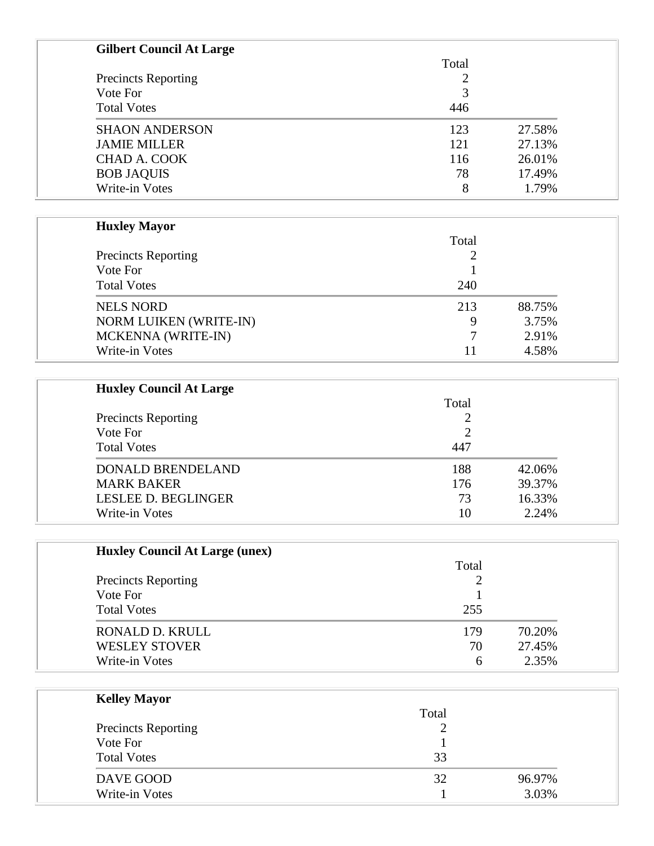| <b>Gilbert Council At Large</b> |       |        |
|---------------------------------|-------|--------|
|                                 | Total |        |
| <b>Precincts Reporting</b>      | 2     |        |
| Vote For                        | 3     |        |
| <b>Total Votes</b>              | 446   |        |
| <b>SHAON ANDERSON</b>           | 123   | 27.58% |
| <b>JAMIE MILLER</b>             | 121   | 27.13% |
| <b>CHAD A. COOK</b>             | 116   | 26.01% |
| <b>BOB JAQUIS</b>               | 78    | 17.49% |
| Write-in Votes                  | 8     | 1.79%  |

| <b>Huxley Mayor</b>           |       |        |
|-------------------------------|-------|--------|
|                               | Total |        |
| <b>Precincts Reporting</b>    |       |        |
| Vote For                      |       |        |
| <b>Total Votes</b>            | 240   |        |
| <b>NELS NORD</b>              | 213   | 88.75% |
| <b>NORM LUIKEN (WRITE-IN)</b> | 9     | 3.75%  |
| MCKENNA (WRITE-IN)            |       | 2.91%  |
| Write-in Votes                | 11    | 4.58%  |
|                               |       |        |

| <b>Huxley Council At Large</b> |       |        |
|--------------------------------|-------|--------|
| <b>Precincts Reporting</b>     | Total |        |
|                                |       |        |
| Vote For                       | 2     |        |
| <b>Total Votes</b>             | 447   |        |
| <b>DONALD BRENDELAND</b>       | 188   | 42.06% |
| <b>MARK BAKER</b>              | 176   | 39.37% |
| LESLEE D. BEGLINGER            | 73    | 16.33% |
| Write-in Votes                 | 10    | 2.24%  |

| <b>Huxley Council At Large (unex)</b>  |       |        |
|----------------------------------------|-------|--------|
| <b>Precincts Reporting</b><br>Vote For | Total |        |
|                                        |       |        |
|                                        |       |        |
| <b>Total Votes</b>                     | 255   |        |
| RONALD D. KRULL                        | 179   | 70.20% |
| <b>WESLEY STOVER</b>                   | 70    | 27.45% |
| Write-in Votes                         | 6     | 2.35%  |

| <b>Kelley Mayor</b>        |        |        |
|----------------------------|--------|--------|
|                            | Total  |        |
| <b>Precincts Reporting</b> | റ<br>∠ |        |
| Vote For                   |        |        |
| <b>Total Votes</b>         | 33     |        |
| DAVE GOOD                  | 32     | 96.97% |
| Write-in Votes             |        | 3.03%  |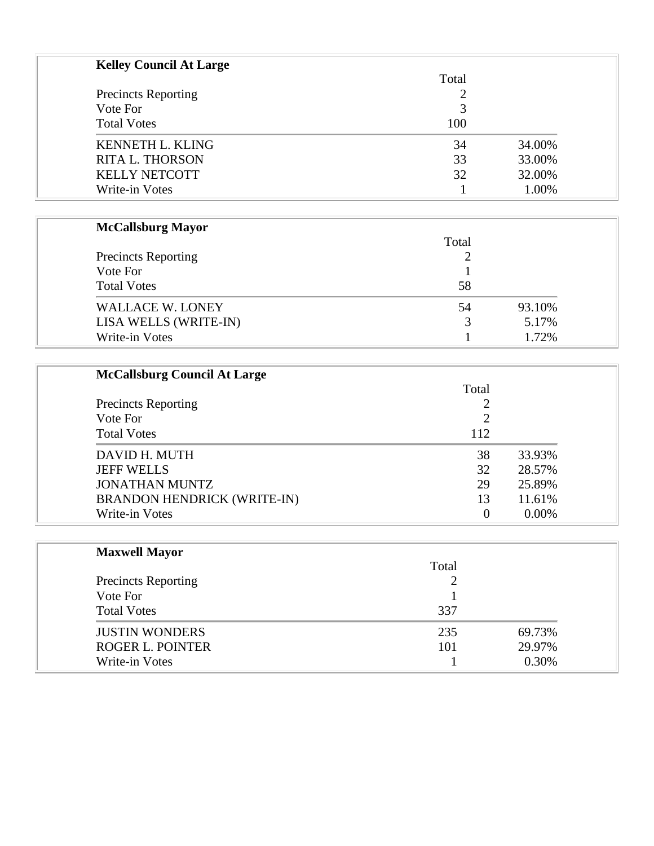| <b>Precincts Reporting</b> | Total |        |
|----------------------------|-------|--------|
|                            |       |        |
| Vote For                   | 3     |        |
| <b>Total Votes</b>         | 100   |        |
| <b>KENNETH L. KLING</b>    | 34    | 34.00% |
| <b>RITA L. THORSON</b>     | 33    | 33.00% |
| <b>KELLY NETCOTT</b>       | 32    | 32.00% |
| Write-in Votes             |       | 1.00%  |

## **McCallsburg Mayor**

|                            | Total |        |
|----------------------------|-------|--------|
| <b>Precincts Reporting</b> |       |        |
| Vote For                   |       |        |
| <b>Total Votes</b>         | 58    |        |
| <b>WALLACE W. LONEY</b>    | 54    | 93.10% |
| LISA WELLS (WRITE-IN)      | 3     | 5.17%  |
| Write-in Votes             |       | 1.72%  |

| <b>McCallsburg Council At Large</b> |       |          |
|-------------------------------------|-------|----------|
|                                     | Total |          |
| <b>Precincts Reporting</b>          |       |          |
| Vote For                            |       |          |
| <b>Total Votes</b>                  | 112   |          |
| DAVID H. MUTH                       | 38    | 33.93%   |
| <b>JEFF WELLS</b>                   | 32    | 28.57%   |
| <b>JONATHAN MUNTZ</b>               | 29    | 25.89%   |
| <b>BRANDON HENDRICK (WRITE-IN)</b>  | 13    | 11.61%   |
| Write-in Votes                      |       | $0.00\%$ |

| <b>Maxwell Mayor</b>       |       |        |
|----------------------------|-------|--------|
|                            | Total |        |
| <b>Precincts Reporting</b> |       |        |
| Vote For                   |       |        |
| <b>Total Votes</b>         | 337   |        |
| <b>JUSTIN WONDERS</b>      | 235   | 69.73% |
| <b>ROGER L. POINTER</b>    | 101   | 29.97% |
| Write-in Votes             |       | 0.30%  |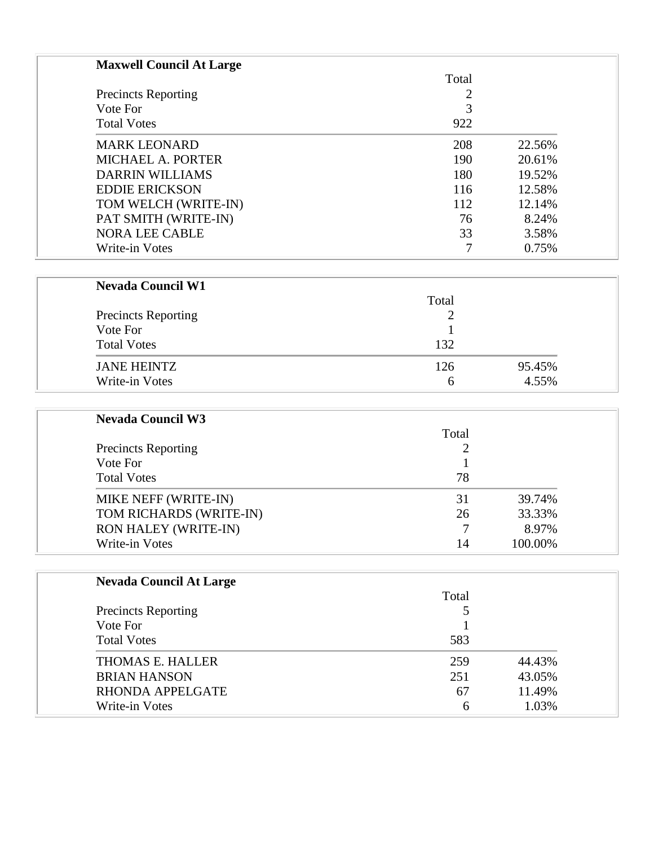| <b>Maxwell Council At Large</b> |       |        |
|---------------------------------|-------|--------|
|                                 | Total |        |
| <b>Precincts Reporting</b>      | 2     |        |
| Vote For                        | 3     |        |
| <b>Total Votes</b>              | 922   |        |
| <b>MARK LEONARD</b>             | 208   | 22.56% |
| MICHAEL A. PORTER               | 190   | 20.61% |
| <b>DARRIN WILLIAMS</b>          | 180   | 19.52% |
| <b>EDDIE ERICKSON</b>           | 116   | 12.58% |
| TOM WELCH (WRITE-IN)            | 112   | 12.14% |
| PAT SMITH (WRITE-IN)            | 76    | 8.24%  |
| <b>NORA LEE CABLE</b>           | 33    | 3.58%  |
| Write-in Votes                  |       | 0.75%  |

| Total |        |
|-------|--------|
|       |        |
|       |        |
| 132   |        |
| 126   | 95.45% |
|       | 4.55%  |
|       | 6      |

| <b>Nevada Council W3</b>    |       |         |
|-----------------------------|-------|---------|
|                             | Total |         |
| <b>Precincts Reporting</b>  |       |         |
| Vote For                    |       |         |
| <b>Total Votes</b>          | 78    |         |
| MIKE NEFF (WRITE-IN)        | 31    | 39.74%  |
| TOM RICHARDS (WRITE-IN)     | 26    | 33.33%  |
| <b>RON HALEY (WRITE-IN)</b> |       | 8.97%   |
| Write-in Votes              | 14    | 100.00% |

| <b>Nevada Council At Large</b> |       |        |
|--------------------------------|-------|--------|
|                                | Total |        |
| <b>Precincts Reporting</b>     |       |        |
| Vote For                       |       |        |
| <b>Total Votes</b>             | 583   |        |
| THOMAS E. HALLER               | 259   | 44.43% |
| <b>BRIAN HANSON</b>            | 251   | 43.05% |
| RHONDA APPELGATE               | 67    | 11.49% |
| Write-in Votes                 | 6     | 1.03%  |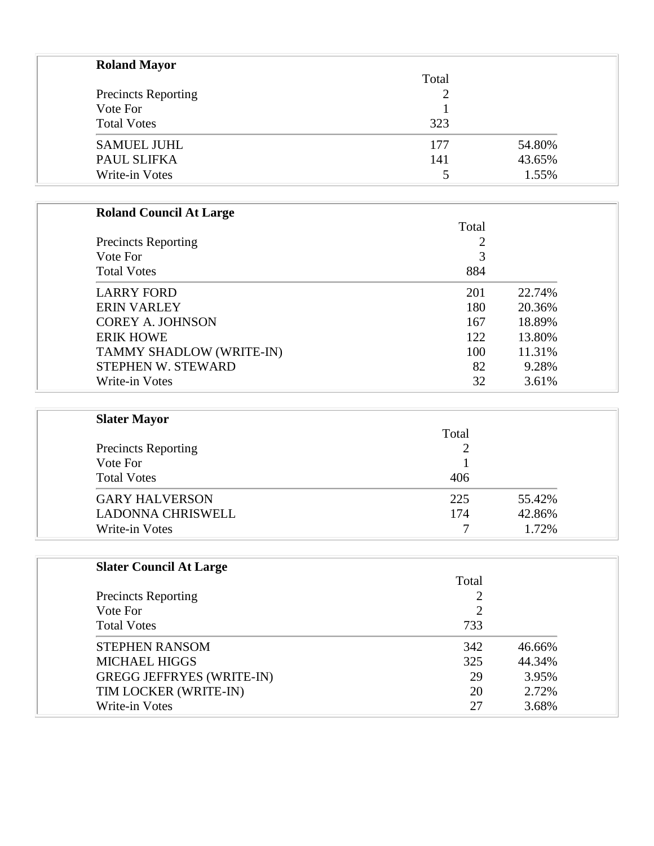| <b>Roland Mayor</b>        |       |        |
|----------------------------|-------|--------|
|                            | Total |        |
| <b>Precincts Reporting</b> |       |        |
| Vote For                   |       |        |
| <b>Total Votes</b>         | 323   |        |
| <b>SAMUEL JUHL</b>         | 177   | 54.80% |
| PAUL SLIFKA                | 141   | 43.65% |
| Write-in Votes             |       | 1.55%  |

# **Roland Council At Large**

|                            | Total |        |
|----------------------------|-------|--------|
| <b>Precincts Reporting</b> | 2     |        |
| Vote For                   | 3     |        |
| <b>Total Votes</b>         | 884   |        |
| <b>LARRY FORD</b>          | 201   | 22.74% |
| <b>ERIN VARLEY</b>         | 180   | 20.36% |
| <b>COREY A. JOHNSON</b>    | 167   | 18.89% |
| <b>ERIK HOWE</b>           | 122   | 13.80% |
| TAMMY SHADLOW (WRITE-IN)   | 100   | 11.31% |
| STEPHEN W. STEWARD         | 82    | 9.28%  |
| Write-in Votes             | 32    | 3.61%  |

| <b>Slater Mayor</b>                    |       |        |
|----------------------------------------|-------|--------|
| <b>Precincts Reporting</b><br>Vote For | Total |        |
|                                        |       |        |
|                                        |       |        |
| <b>Total Votes</b>                     | 406   |        |
| <b>GARY HALVERSON</b>                  | 225   | 55.42% |
| <b>LADONNA CHRISWELL</b>               | 174   | 42.86% |
| Write-in Votes                         |       | 1.72%  |

# **Slater Council At Large**

|                                  | Total |        |
|----------------------------------|-------|--------|
| <b>Precincts Reporting</b>       |       |        |
| Vote For                         | າ     |        |
| <b>Total Votes</b>               | 733   |        |
| <b>STEPHEN RANSOM</b>            | 342   | 46.66% |
| <b>MICHAEL HIGGS</b>             | 325   | 44.34% |
| <b>GREGG JEFFRYES (WRITE-IN)</b> | 29    | 3.95%  |
| TIM LOCKER (WRITE-IN)            | 20    | 2.72%  |
| Write-in Votes                   | 27    | 3.68%  |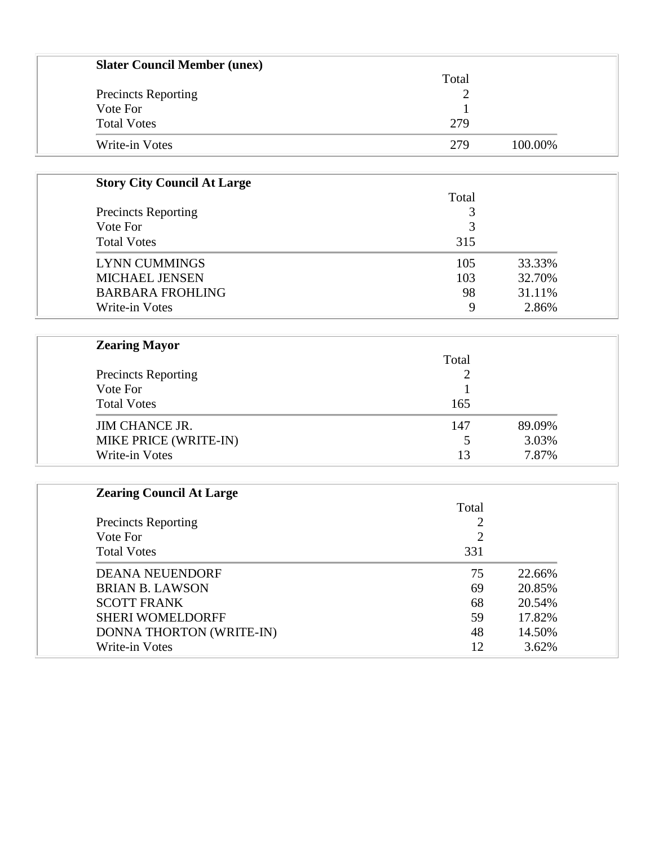| <b>Slater Council Member (unex)</b> |       |         |
|-------------------------------------|-------|---------|
|                                     | Total |         |
| <b>Precincts Reporting</b>          |       |         |
| Vote For                            |       |         |
| <b>Total Votes</b>                  | 279   |         |
| Write-in Votes                      | 279   | 100.00% |

| <b>Story City Council At Large</b> |       |        |
|------------------------------------|-------|--------|
|                                    | Total |        |
| <b>Precincts Reporting</b>         |       |        |
| Vote For                           | 3     |        |
| <b>Total Votes</b>                 | 315   |        |
| <b>LYNN CUMMINGS</b>               | 105   | 33.33% |
| <b>MICHAEL JENSEN</b>              | 103   | 32.70% |
| <b>BARBARA FROHLING</b>            | 98    | 31.11% |
| Write-in Votes                     | Q     | 2.86%  |

| <b>Zearing Mayor</b>                   |       |        |
|----------------------------------------|-------|--------|
| <b>Precincts Reporting</b><br>Vote For | Total |        |
|                                        |       |        |
|                                        |       |        |
| <b>Total Votes</b>                     | 165   |        |
| <b>JIM CHANCE JR.</b>                  | 147   | 89.09% |
| MIKE PRICE (WRITE-IN)                  |       | 3.03%  |
| Write-in Votes                         | 13    | 7.87%  |

| <b>Zearing Council At Large</b> |                |        |
|---------------------------------|----------------|--------|
|                                 | Total          |        |
| <b>Precincts Reporting</b>      | 2              |        |
| Vote For                        | $\overline{2}$ |        |
| <b>Total Votes</b>              | 331            |        |
| <b>DEANA NEUENDORF</b>          | 75             | 22.66% |
| <b>BRIAN B. LAWSON</b>          | 69             | 20.85% |
| <b>SCOTT FRANK</b>              | 68             | 20.54% |
| <b>SHERI WOMELDORFF</b>         | 59             | 17.82% |
| DONNA THORTON (WRITE-IN)        | 48             | 14.50% |
| Write-in Votes                  | 12             | 3.62%  |